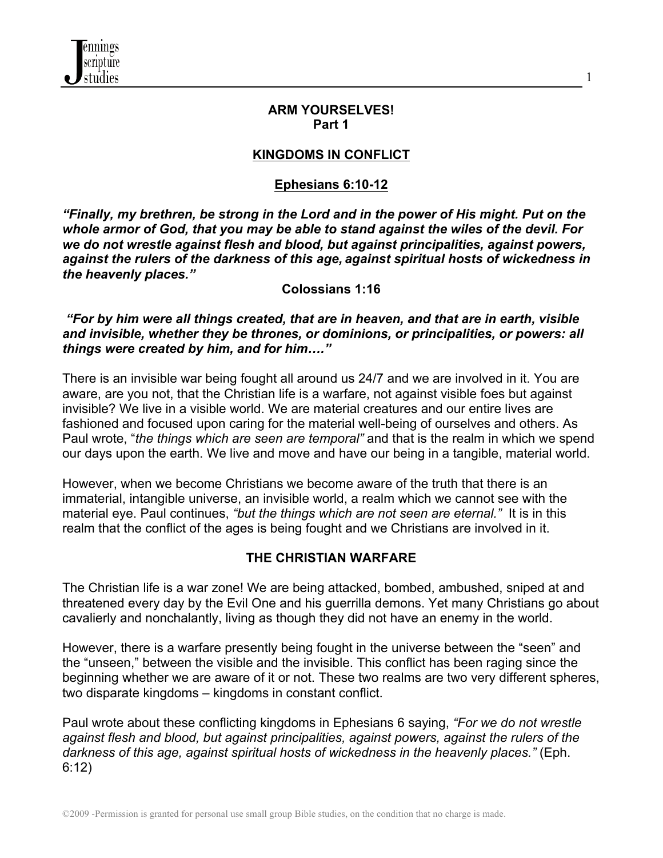

### **ARM YOURSELVES! Part 1**

1

## **KINGDOMS IN CONFLICT**

# **Ephesians 6:10-12**

*"Finally, my brethren, be strong in the Lord and in the power of His might. Put on the whole armor of God, that you may be able to stand against the wiles of the devil. For we do not wrestle against flesh and blood, but against principalities, against powers, against the rulers of the darkness of this age, against spiritual hosts of wickedness in the heavenly places."*

### **Colossians 1:16**

*"For by him were all things created, that are in heaven, and that are in earth, visible and invisible, whether they be thrones, or dominions, or principalities, or powers: all things were created by him, and for him…."*

There is an invisible war being fought all around us 24/7 and we are involved in it. You are aware, are you not, that the Christian life is a warfare, not against visible foes but against invisible? We live in a visible world. We are material creatures and our entire lives are fashioned and focused upon caring for the material well-being of ourselves and others. As Paul wrote, "*the things which are seen are temporal"* and that is the realm in which we spend our days upon the earth. We live and move and have our being in a tangible, material world.

However, when we become Christians we become aware of the truth that there is an immaterial, intangible universe, an invisible world, a realm which we cannot see with the material eye. Paul continues, *"but the things which are not seen are eternal."* It is in this realm that the conflict of the ages is being fought and we Christians are involved in it.

## **THE CHRISTIAN WARFARE**

The Christian life is a war zone! We are being attacked, bombed, ambushed, sniped at and threatened every day by the Evil One and his guerrilla demons. Yet many Christians go about cavalierly and nonchalantly, living as though they did not have an enemy in the world.

However, there is a warfare presently being fought in the universe between the "seen" and the "unseen," between the visible and the invisible. This conflict has been raging since the beginning whether we are aware of it or not. These two realms are two very different spheres, two disparate kingdoms – kingdoms in constant conflict.

Paul wrote about these conflicting kingdoms in Ephesians 6 saying, *"For we do not wrestle against flesh and blood, but against principalities, against powers, against the rulers of the darkness of this age, against spiritual hosts of wickedness in the heavenly places."* (Eph. 6:12)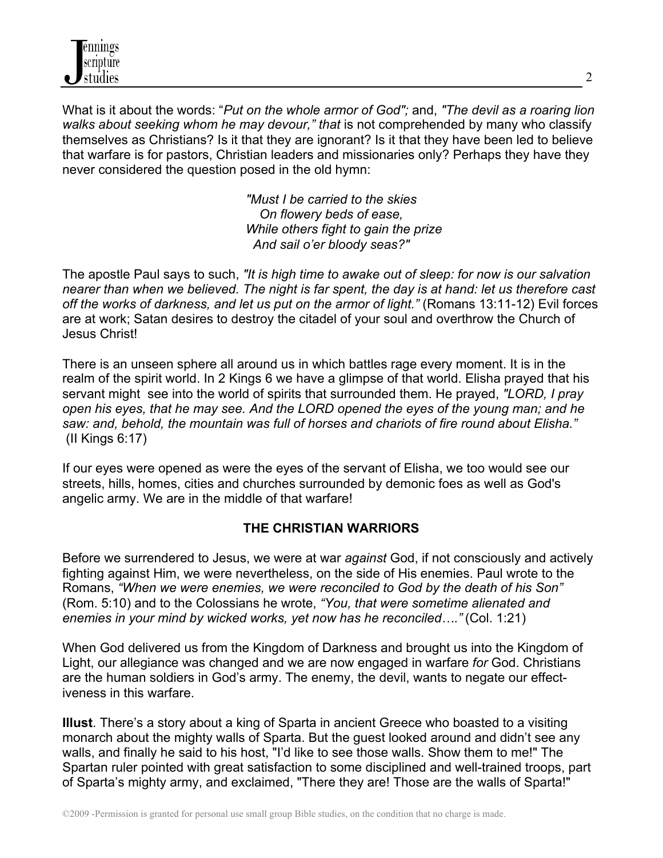

What is it about the words: "*Put on the whole armor of God";* and, *"The devil as a roaring lion walks about seeking whom he may devour," that* is not comprehended by many who classify themselves as Christians? Is it that they are ignorant? Is it that they have been led to believe that warfare is for pastors, Christian leaders and missionaries only? Perhaps they have they never considered the question posed in the old hymn:

> *"Must I be carried to the skies On flowery beds of ease, While others fight to gain the prize And sail o'er bloody seas?"*

The apostle Paul says to such, *"It is high time to awake out of sleep: for now is our salvation nearer than when we believed. The night is far spent, the day is at hand: let us therefore cast off the works of darkness, and let us put on the armor of light."* (Romans 13:11-12) Evil forces are at work; Satan desires to destroy the citadel of your soul and overthrow the Church of Jesus Christ!

There is an unseen sphere all around us in which battles rage every moment. It is in the realm of the spirit world. In 2 Kings 6 we have a glimpse of that world. Elisha prayed that his servant might see into the world of spirits that surrounded them. He prayed, *"LORD, I pray open his eyes, that he may see. And the LORD opened the eyes of the young man; and he saw: and, behold, the mountain was full of horses and chariots of fire round about Elisha."* (II Kings 6:17)

If our eyes were opened as were the eyes of the servant of Elisha, we too would see our streets, hills, homes, cities and churches surrounded by demonic foes as well as God's angelic army. We are in the middle of that warfare!

## **THE CHRISTIAN WARRIORS**

Before we surrendered to Jesus, we were at war *against* God, if not consciously and actively fighting against Him, we were nevertheless, on the side of His enemies. Paul wrote to the Romans, *"When we were enemies, we were reconciled to God by the death of his Son"* (Rom. 5:10) and to the Colossians he wrote, *"You, that were sometime alienated and enemies in your mind by wicked works, yet now has he reconciled…."* (Col. 1:21)

When God delivered us from the Kingdom of Darkness and brought us into the Kingdom of Light, our allegiance was changed and we are now engaged in warfare *for* God. Christians are the human soldiers in God's army. The enemy, the devil, wants to negate our effectiveness in this warfare.

**Illust**. There's a story about a king of Sparta in ancient Greece who boasted to a visiting monarch about the mighty walls of Sparta. But the guest looked around and didn't see any walls, and finally he said to his host, "I'd like to see those walls. Show them to me!" The Spartan ruler pointed with great satisfaction to some disciplined and well-trained troops, part of Sparta's mighty army, and exclaimed, "There they are! Those are the walls of Sparta!"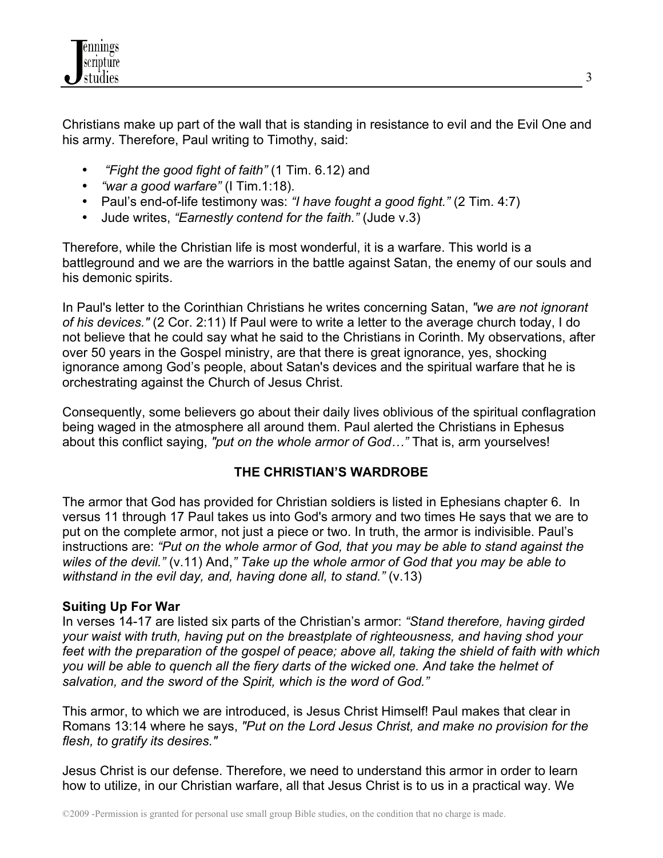

Christians make up part of the wall that is standing in resistance to evil and the Evil One and his army. Therefore, Paul writing to Timothy, said:

- *"Fight the good fight of faith"* (1 Tim. 6.12) and
- *"war a good warfare"* (I Tim.1:18).
- Paul's end-of-life testimony was: *"I have fought a good fight."* (2 Tim. 4:7)
- Jude writes, *"Earnestly contend for the faith."* (Jude v.3)

Therefore, while the Christian life is most wonderful, it is a warfare. This world is a battleground and we are the warriors in the battle against Satan, the enemy of our souls and his demonic spirits.

In Paul's letter to the Corinthian Christians he writes concerning Satan, *"we are not ignorant of his devices."* (2 Cor. 2:11) If Paul were to write a letter to the average church today, I do not believe that he could say what he said to the Christians in Corinth. My observations, after over 50 years in the Gospel ministry, are that there is great ignorance, yes, shocking ignorance among God's people, about Satan's devices and the spiritual warfare that he is orchestrating against the Church of Jesus Christ.

Consequently, some believers go about their daily lives oblivious of the spiritual conflagration being waged in the atmosphere all around them. Paul alerted the Christians in Ephesus about this conflict saying, *"put on the whole armor of God…"* That is, arm yourselves!

# **THE CHRISTIAN'S WARDROBE**

The armor that God has provided for Christian soldiers is listed in Ephesians chapter 6. In versus 11 through 17 Paul takes us into God's armory and two times He says that we are to put on the complete armor, not just a piece or two. In truth, the armor is indivisible. Paul's instructions are: *"Put on the whole armor of God, that you may be able to stand against the wiles of the devil."* (v.11) And,*" Take up the whole armor of God that you may be able to withstand in the evil day, and, having done all, to stand."* (v.13)

## **Suiting Up For War**

In verses 14-17 are listed six parts of the Christian's armor: *"Stand therefore, having girded your waist with truth, having put on the breastplate of righteousness, and having shod your feet with the preparation of the gospel of peace; above all, taking the shield of faith with which you will be able to quench all the fiery darts of the wicked one. And take the helmet of salvation, and the sword of the Spirit, which is the word of God."*

This armor, to which we are introduced, is Jesus Christ Himself! Paul makes that clear in Romans 13:14 where he says, *"Put on the Lord Jesus Christ, and make no provision for the flesh, to gratify its desires."*

Jesus Christ is our defense. Therefore, we need to understand this armor in order to learn how to utilize, in our Christian warfare, all that Jesus Christ is to us in a practical way. We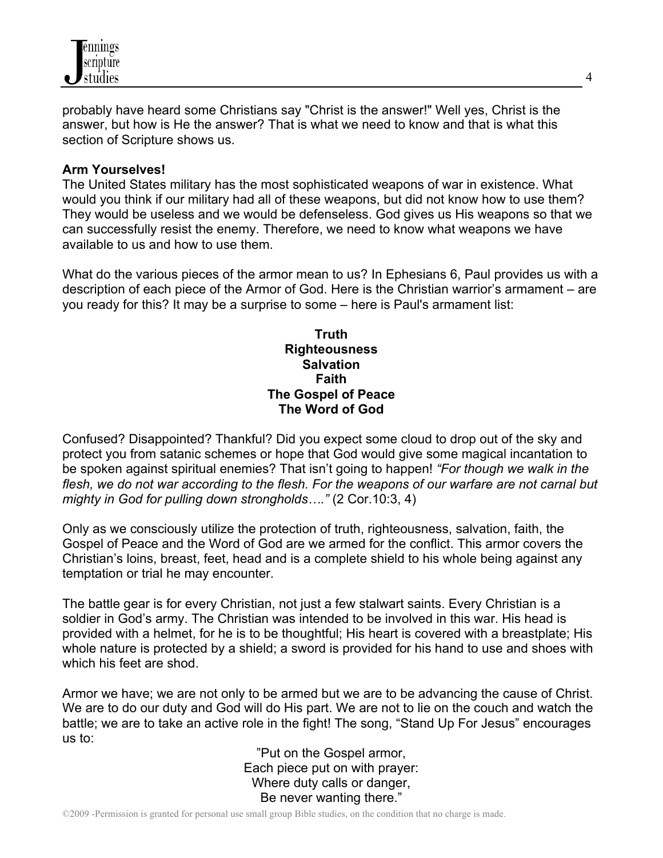

probably have heard some Christians say "Christ is the answer!" Well yes, Christ is the answer, but how is He the answer? That is what we need to know and that is what this section of Scripture shows us.

### **Arm Yourselves!**

The United States military has the most sophisticated weapons of war in existence. What would you think if our military had all of these weapons, but did not know how to use them? They would be useless and we would be defenseless. God gives us His weapons so that we can successfully resist the enemy. Therefore, we need to know what weapons we have available to us and how to use them.

What do the various pieces of the armor mean to us? In Ephesians 6, Paul provides us with a description of each piece of the Armor of God. Here is the Christian warrior's armament – are you ready for this? It may be a surprise to some – here is Paul's armament list:

### **Truth Righteousness Salvation Faith The Gospel of Peace The Word of God**

Confused? Disappointed? Thankful? Did you expect some cloud to drop out of the sky and protect you from satanic schemes or hope that God would give some magical incantation to be spoken against spiritual enemies? That isn't going to happen! *"For though we walk in the flesh, we do not war according to the flesh. For the weapons of our warfare are not carnal but mighty in God for pulling down strongholds…."* (2 Cor.10:3, 4)

Only as we consciously utilize the protection of truth, righteousness, salvation, faith, the Gospel of Peace and the Word of God are we armed for the conflict. This armor covers the Christian's loins, breast, feet, head and is a complete shield to his whole being against any temptation or trial he may encounter.

The battle gear is for every Christian, not just a few stalwart saints. Every Christian is a soldier in God's army. The Christian was intended to be involved in this war. His head is provided with a helmet, for he is to be thoughtful; His heart is covered with a breastplate; His whole nature is protected by a shield; a sword is provided for his hand to use and shoes with which his feet are shod.

Armor we have; we are not only to be armed but we are to be advancing the cause of Christ. We are to do our duty and God will do His part. We are not to lie on the couch and watch the battle; we are to take an active role in the fight! The song, "Stand Up For Jesus" encourages us to:

"Put on the Gospel armor, Each piece put on with prayer: Where duty calls or danger, Be never wanting there."